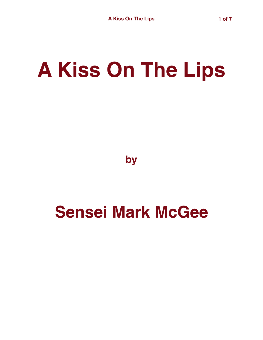## **A Kiss On The Lips**

**by**

## **Sensei Mark McGee**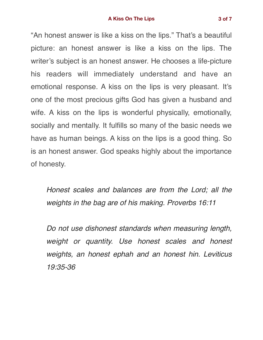"An honest answer is like a kiss on the lips." That's a beautiful picture: an honest answer is like a kiss on the lips. The writer's subject is an honest answer. He chooses a life-picture his readers will immediately understand and have an emotional response. A kiss on the lips is very pleasant. It's one of the most precious gifts God has given a husband and wife. A kiss on the lips is wonderful physically, emotionally, socially and mentally. It fulfills so many of the basic needs we have as human beings. A kiss on the lips is a good thing. So is an honest answer. God speaks highly about the importance of honesty.

*Honest scales and balances are from the Lord; all the weights in the bag are of his making. Proverbs 16:11*

*Do not use dishonest standards when measuring length, weight or quantity. Use honest scales and honest weights, an honest ephah and an honest hin. Leviticus 19:35-36*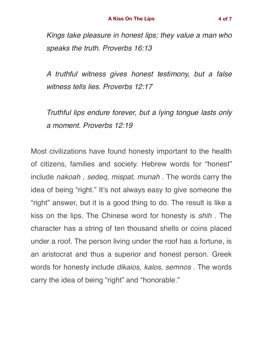*Kings take pleasure in honest lips; they value a man who speaks the truth. Proverbs 16:13*

*A truthful witness gives honest testimony, but a false witness tells lies. Proverbs 12:17*

*Truthful lips endure forever, but a lying tongue lasts only a moment. Proverbs 12:19*

Most civilizations have found honesty important to the health of citizens, families and society. Hebrew words for "honest" include *nakoah , sedeq, mispat, munah* . The words carry the idea of being "right." It's not always easy to give someone the "right" answer, but it is a good thing to do. The result is like a kiss on the lips. The Chinese word for honesty is *shih* . The character has a string of ten thousand shells or coins placed under a roof. The person living under the roof has a fortune, is an aristocrat and thus a superior and honest person. Greek words for honesty include *dikaios, kalos, semnos* . The words carry the idea of being "right" and "honorable."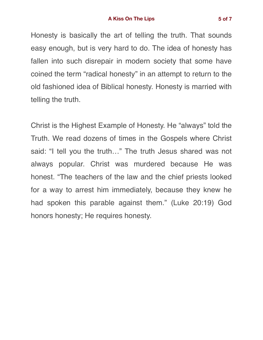Honesty is basically the art of telling the truth. That sounds easy enough, but is very hard to do. The idea of honesty has fallen into such disrepair in modern society that some have coined the term "radical honesty" in an attempt to return to the old fashioned idea of Biblical honesty. Honesty is married with telling the truth.

Christ is the Highest Example of Honesty. He "always" told the Truth. We read dozens of times in the Gospels where Christ said: "I tell you the truth…" The truth Jesus shared was not always popular. Christ was murdered because He was honest. "The teachers of the law and the chief priests looked for a way to arrest him immediately, because they knew he had spoken this parable against them." (Luke 20:19) God honors honesty; He requires honesty.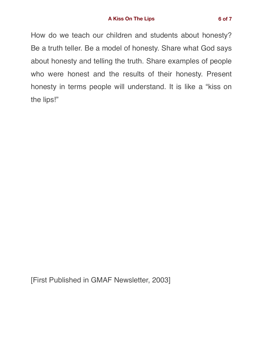How do we teach our children and students about honesty? Be a truth teller. Be a model of honesty. Share what God says about honesty and telling the truth. Share examples of people who were honest and the results of their honesty. Present honesty in terms people will understand. It is like a "kiss on the lips!"

[First Published in GMAF Newsletter, 2003]